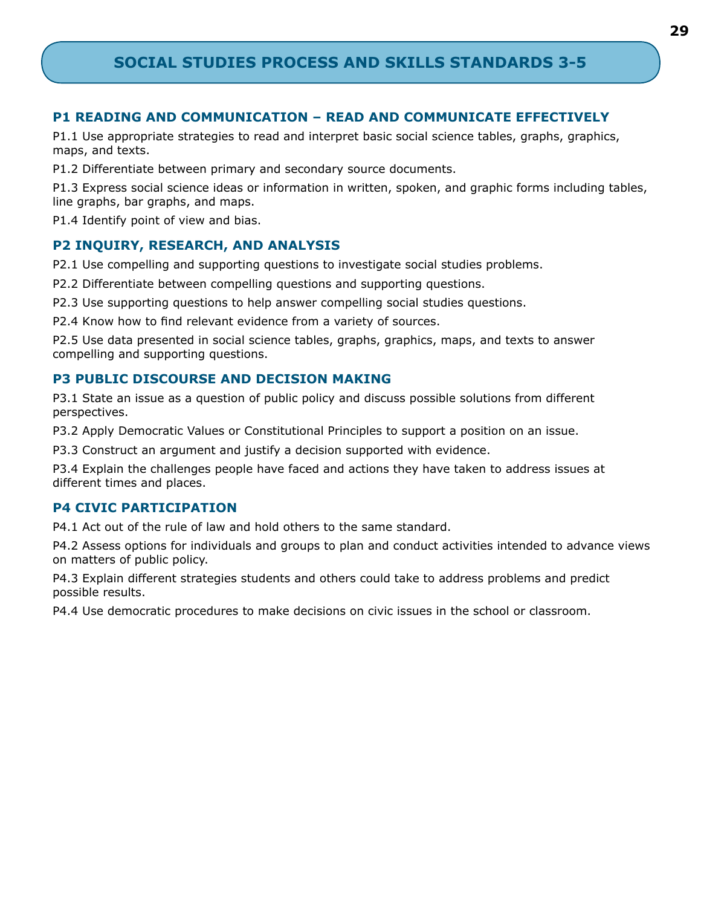# **SOCIAL STUDIES PROCESS AND SKILLS STANDARDS 3-5**

## **P1 READING AND COMMUNICATION – READ AND COMMUNICATE EFFECTIVELY**

P1.1 Use appropriate strategies to read and interpret basic social science tables, graphs, graphics, maps, and texts.

P1.2 Differentiate between primary and secondary source documents.

P1.3 Express social science ideas or information in written, spoken, and graphic forms including tables, line graphs, bar graphs, and maps.

P1.4 Identify point of view and bias.

## **P2 INQUIRY, RESEARCH, AND ANALYSIS**

P2.1 Use compelling and supporting questions to investigate social studies problems.

P2.2 Differentiate between compelling questions and supporting questions.

P2.3 Use supporting questions to help answer compelling social studies questions.

P2.4 Know how to find relevant evidence from a variety of sources.

P2.5 Use data presented in social science tables, graphs, graphics, maps, and texts to answer compelling and supporting questions.

## **P3 PUBLIC DISCOURSE AND DECISION MAKING**

P3.1 State an issue as a question of public policy and discuss possible solutions from different perspectives.

P3.2 Apply Democratic Values or Constitutional Principles to support a position on an issue.

P3.3 Construct an argument and justify a decision supported with evidence.

P3.4 Explain the challenges people have faced and actions they have taken to address issues at different times and places.

## **P4 CIVIC PARTICIPATION**

P4.1 Act out of the rule of law and hold others to the same standard.

P4.2 Assess options for individuals and groups to plan and conduct activities intended to advance views on matters of public policy.

P4.3 Explain different strategies students and others could take to address problems and predict possible results.

P4.4 Use democratic procedures to make decisions on civic issues in the school or classroom.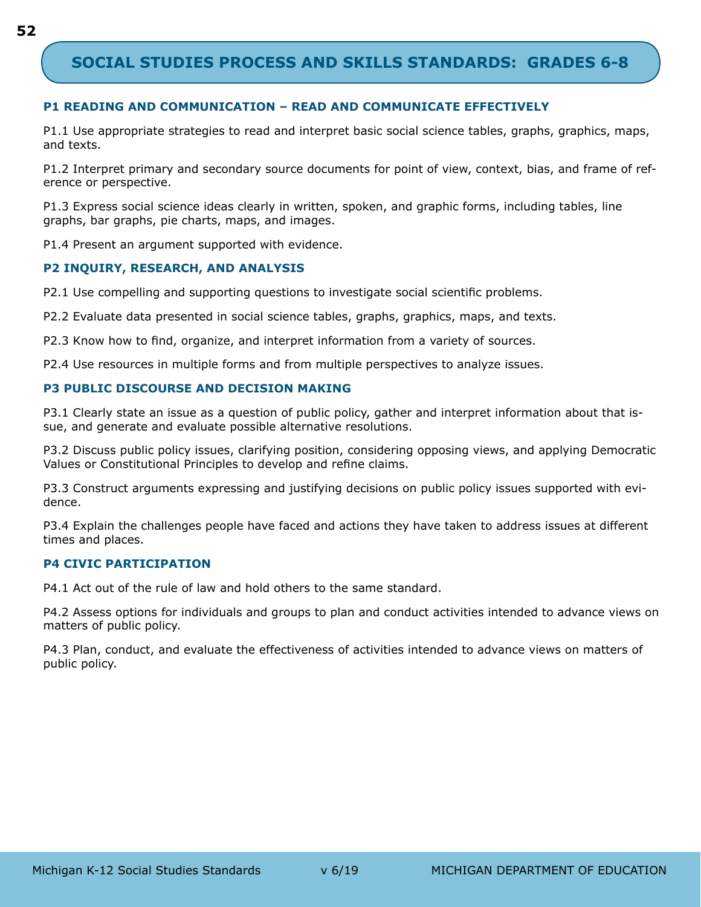# **SOCIAL STUDIES PROCESS AND SKILLS STANDARDS: GRADES 6-8**

#### **P1 READING AND COMMUNICATION – READ AND COMMUNICATE EFFECTIVELY**

P1.1 Use appropriate strategies to read and interpret basic social science tables, graphs, graphics, maps, and texts.

P1.2 Interpret primary and secondary source documents for point of view, context, bias, and frame of reference or perspective.

P1.3 Express social science ideas clearly in written, spoken, and graphic forms, including tables, line graphs, bar graphs, pie charts, maps, and images.

P1.4 Present an argument supported with evidence.

#### **P2 INQUIRY, RESEARCH, AND ANALYSIS**

P2.1 Use compelling and supporting questions to investigate social scientific problems.

P2.2 Evaluate data presented in social science tables, graphs, graphics, maps, and texts.

P2.3 Know how to find, organize, and interpret information from a variety of sources.

P2.4 Use resources in multiple forms and from multiple perspectives to analyze issues.

#### **P3 PUBLIC DISCOURSE AND DECISION MAKING**

P3.1 Clearly state an issue as a question of public policy, gather and interpret information about that issue, and generate and evaluate possible alternative resolutions.

P3.2 Discuss public policy issues, clarifying position, considering opposing views, and applying Democratic Values or Constitutional Principles to develop and refine claims.

P3.3 Construct arguments expressing and justifying decisions on public policy issues supported with evidence.

P3.4 Explain the challenges people have faced and actions they have taken to address issues at different times and places.

#### **P4 CIVIC PARTICIPATION**

P4.1 Act out of the rule of law and hold others to the same standard.

P4.2 Assess options for individuals and groups to plan and conduct activities intended to advance views on matters of public policy.

P4.3 Plan, conduct, and evaluate the effectiveness of activities intended to advance views on matters of public policy.